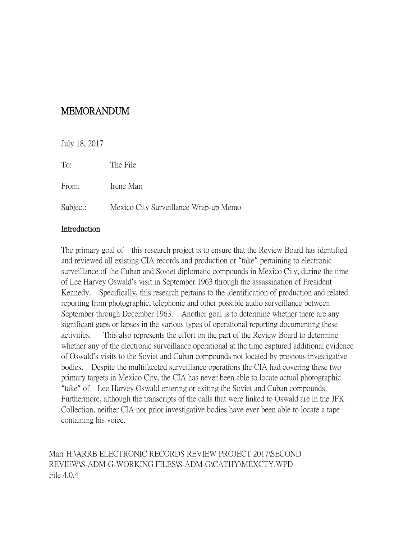# MEMORANDUM

July 18, 2017 To: The File From: Irene Marr Subject: Mexico City Surveillance Wrap-up Memo

#### Introduction

The primary goal of this research project is to ensure that the Review Board has identified and reviewed all existing CIA records and production or "take" pertaining to electronic surveillance of the Cuban and Soviet diplomatic compounds in Mexico City, during the time of Lee Harvey Oswald's visit in September 1963 through the assassination of President Kennedy. Specifically, this research pertains to the identification of production and related reporting from photographic, telephonic and other possible audio surveillance between September through December 1963. Another goal is to determine whether there are any significant gaps or lapses in the various types of operational reporting documenting these activities. This also represents the effort on the part of the Review Board to determine whether any of the electronic surveillance operational at the time captured additional evidence of Oswald's visits to the Soviet and Cuban compounds not located by previous investigative bodies. Despite the multifaceted surveillance operations the CIA had covering these two primary targets in Mexico City, the CIA has never been able to locate actual photographic "take" of Lee Harvey Oswald entering or exiting the Soviet and Cuban compounds. Furthermore, although the transcripts of the calls that were linked to Oswald are in the JFK Collection, neither CIA nor prior investigative bodies have ever been able to locate a tape containing his voice.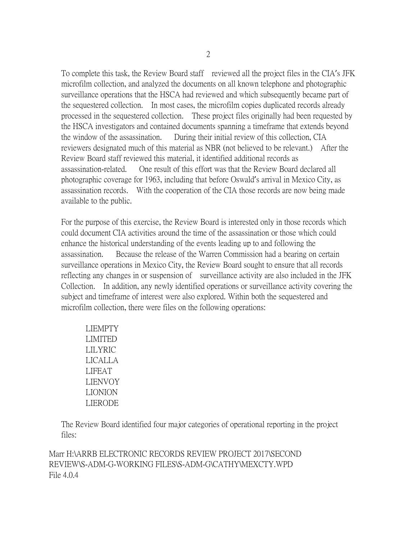To complete this task, the Review Board staff reviewed all the project files in the CIA's JFK microfilm collection, and analyzed the documents on all known telephone and photographic surveillance operations that the HSCA had reviewed and which subsequently became part of the sequestered collection. In most cases, the microfilm copies duplicated records already processed in the sequestered collection. These project files originally had been requested by the HSCA investigators and contained documents spanning a timeframe that extends beyond the window of the assassination. During their initial review of this collection, CIA reviewers designated much of this material as NBR (not believed to be relevant.) After the Review Board staff reviewed this material, it identified additional records as assassination-related. One result of this effort was that the Review Board declared all photographic coverage for 1963, including that before Oswald's arrival in Mexico City, as assassination records. With the cooperation of the CIA those records are now being made available to the public.

For the purpose of this exercise, the Review Board is interested only in those records which could document CIA activities around the time of the assassination or those which could enhance the historical understanding of the events leading up to and following the assassination. Because the release of the Warren Commission had a bearing on certain surveillance operations in Mexico City, the Review Board sought to ensure that all records reflecting any changes in or suspension of surveillance activity are also included in the JFK Collection. In addition, any newly identified operations or surveillance activity covering the subject and timeframe of interest were also explored. Within both the sequestered and microfilm collection, there were files on the following operations:

LIEMPTY LIMITED LILYRIC LICALLA LIFEAT LIENVOY LIONION LIERODE

The Review Board identified four major categories of operational reporting in the project files: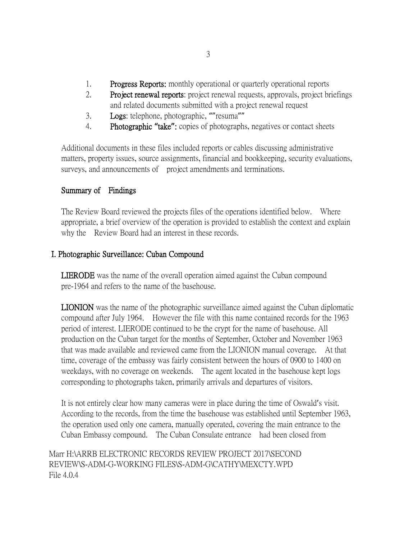- 1. Progress Reports: monthly operational or quarterly operational reports
- 2. Project renewal reports: project renewal requests, approvals, project briefings and related documents submitted with a project renewal request
- 3. Logs: telephone, photographic, ""resuma""
- 4. Photographic **"**take**"**: copies of photographs, negatives or contact sheets

Additional documents in these files included reports or cables discussing administrative matters, property issues, source assignments, financial and bookkeeping, security evaluations, surveys, and announcements of project amendments and terminations.

# Summary of Findings

The Review Board reviewed the projects files of the operations identified below. Where appropriate, a brief overview of the operation is provided to establish the context and explain why the Review Board had an interest in these records.

## I. Photographic Surveillance: Cuban Compound

LIERODE was the name of the overall operation aimed against the Cuban compound pre-1964 and refers to the name of the basehouse.

LIONION was the name of the photographic surveillance aimed against the Cuban diplomatic compound after July 1964. However the file with this name contained records for the 1963 period of interest. LIERODE continued to be the crypt for the name of basehouse. All production on the Cuban target for the months of September, October and November 1963 that was made available and reviewed came from the LIONION manual coverage. At that time, coverage of the embassy was fairly consistent between the hours of 0900 to 1400 on weekdays, with no coverage on weekends. The agent located in the basehouse kept logs corresponding to photographs taken, primarily arrivals and departures of visitors.

It is not entirely clear how many cameras were in place during the time of Oswald's visit. According to the records, from the time the basehouse was established until September 1963, the operation used only one camera, manually operated, covering the main entrance to the Cuban Embassy compound. The Cuban Consulate entrance had been closed from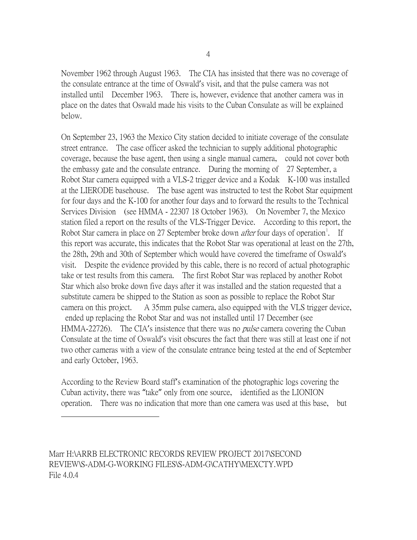November 1962 through August 1963. The CIA has insisted that there was no coverage of the consulate entrance at the time of Oswald's visit, and that the pulse camera was not installed until December 1963. There is, however, evidence that another camera was in place on the dates that Oswald made his visits to the Cuban Consulate as will be explained below.

On September 23, 1963 the Mexico City station decided to initiate coverage of the consulate street entrance. The case officer asked the technician to supply additional photographic coverage, because the base agent, then using a single manual camera, could not cover both the embassy gate and the consulate entrance. During the morning of 27 September, a Robot Star camera equipped with a VLS-2 trigger device and a Kodak K-100 was installed at the LIERODE basehouse. The base agent was instructed to test the Robot Star equipment for four days and the K-100 for another four days and to forward the results to the Technical Services Division (see HMMA - 22307 18 October 1963). On November 7, the Mexico station filed a report on the results of the VLS-Trigger Device. According to this report, the Robot Star camera in place on 27 September broke down *after* four days of operation<sup>[1](#page-3-0)</sup>. If this report was accurate, this indicates that the Robot Star was operational at least on the 27th, the 28th, 29th and 30th of September which would have covered the timeframe of Oswald's visit. Despite the evidence provided by this cable, there is no record of actual photographic take or test results from this camera. The first Robot Star was replaced by another Robot Star which also broke down five days after it was installed and the station requested that a substitute camera be shipped to the Station as soon as possible to replace the Robot Star camera on this project. A 35mm pulse camera, also equipped with the VLS trigger device, ended up replacing the Robot Star and was not installed until 17 December (see HMMA-22726). The CIA's insistence that there was no *pulse* camera covering the Cuban Consulate at the time of Oswald's visit obscures the fact that there was still at least one if not two other cameras with a view of the consulate entrance being tested at the end of September and early October, 1963.

According to the Review Board staff's examination of the photographic logs covering the Cuban activity, there was "take" only from one source, identified as the LIONION operation. There was no indication that more than one camera was used at this base, but

<span id="page-3-0"></span>Marr H:\ARRB ELECTRONIC RECORDS REVIEW PROJECT 2017\SECOND REVIEW\S-ADM-G-WORKING FILES\S-ADM-G\CATHY\MEXCTY.WPD File 4.0.4

 $\overline{a}$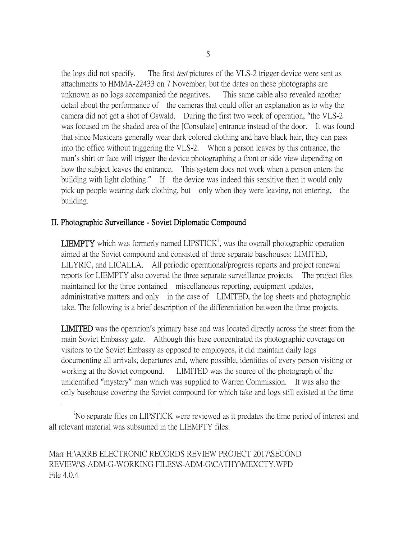the logs did not specify. The first *test* pictures of the VLS-2 trigger device were sent as attachments to HMMA-22433 on 7 November, but the dates on these photographs are unknown as no logs accompanied the negatives. This same cable also revealed another detail about the performance of the cameras that could offer an explanation as to why the camera did not get a shot of Oswald. During the first two week of operation, "the VLS-2 was focused on the shaded area of the [Consulate] entrance instead of the door. It was found that since Mexicans generally wear dark colored clothing and have black hair, they can pass into the office without triggering the VLS-2. When a person leaves by this entrance, the man's shirt or face will trigger the device photographing a front or side view depending on how the subject leaves the entrance. This system does not work when a person enters the building with light clothing." If the device was indeed this sensitive then it would only pick up people wearing dark clothing, but only when they were leaving, not entering, the building.

#### II. Photographic Surveillance - Soviet Diplomatic Compound

**LIEMPTY** which was formerly named LIPSTICK<sup>[2](#page-4-0)</sup>, was the overall photographic operation aimed at the Soviet compound and consisted of three separate basehouses: LIMITED, LILYRIC, and LICALLA. All periodic operational/progress reports and project renewal reports for LIEMPTY also covered the three separate surveillance projects. The project files maintained for the three contained miscellaneous reporting, equipment updates, administrative matters and only in the case of LIMITED, the log sheets and photographic take. The following is a brief description of the differentiation between the three projects.

LIMITED was the operation's primary base and was located directly across the street from the main Soviet Embassy gate. Although this base concentrated its photographic coverage on visitors to the Soviet Embassy as opposed to employees, it did maintain daily logs documenting all arrivals, departures and, where possible, identities of every person visiting or working at the Soviet compound. LIMITED was the source of the photograph of the unidentified "mystery" man which was supplied to Warren Commission. It was also the only basehouse covering the Soviet compound for which take and logs still existed at the time

<span id="page-4-0"></span> <sup>2</sup> <sup>2</sup>No separate files on LIPSTICK were reviewed as it predates the time period of interest and all relevant material was subsumed in the LIEMPTY files.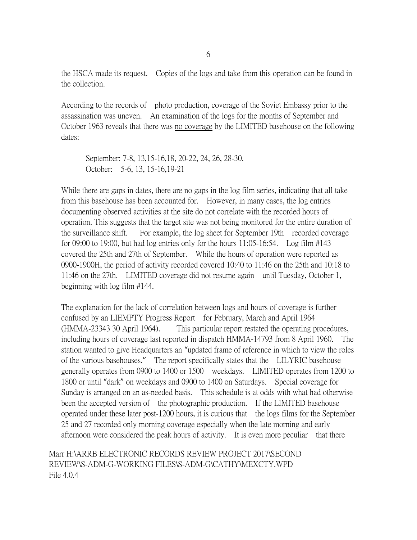the HSCA made its request. Copies of the logs and take from this operation can be found in the collection.

According to the records of photo production, coverage of the Soviet Embassy prior to the assassination was uneven. An examination of the logs for the months of September and October 1963 reveals that there was no coverage by the LIMITED basehouse on the following dates:

September: 7-8, 13,15-16,18, 20-22, 24, 26, 28-30. October: 5-6, 13, 15-16,19-21

While there are gaps in dates, there are no gaps in the log film series, indicating that all take from this basehouse has been accounted for. However, in many cases, the log entries documenting observed activities at the site do not correlate with the recorded hours of operation. This suggests that the target site was not being monitored for the entire duration of the surveillance shift. For example, the log sheet for September 19th recorded coverage for 09:00 to 19:00, but had log entries only for the hours 11:05-16:54. Log film #143 covered the 25th and 27th of September. While the hours of operation were reported as 0900-1900H, the period of activity recorded covered 10:40 to 11:46 on the 25th and 10:18 to 11:46 on the 27th. LIMITED coverage did not resume again until Tuesday, October 1, beginning with log film #144.

The explanation for the lack of correlation between logs and hours of coverage is further confused by an LIEMPTY Progress Report for February, March and April 1964 (HMMA-23343 30 April 1964). This particular report restated the operating procedures, including hours of coverage last reported in dispatch HMMA-14793 from 8 April 1960. The station wanted to give Headquarters an "updated frame of reference in which to view the roles of the various basehouses." The report specifically states that the LILYRIC basehouse generally operates from 0900 to 1400 or 1500 weekdays. LIMITED operates from 1200 to 1800 or until "dark" on weekdays and 0900 to 1400 on Saturdays. Special coverage for Sunday is arranged on an as-needed basis. This schedule is at odds with what had otherwise been the accepted version of the photographic production. If the LIMITED basehouse operated under these later post-1200 hours, it is curious that the logs films for the September 25 and 27 recorded only morning coverage especially when the late morning and early afternoon were considered the peak hours of activity. It is even more peculiar that there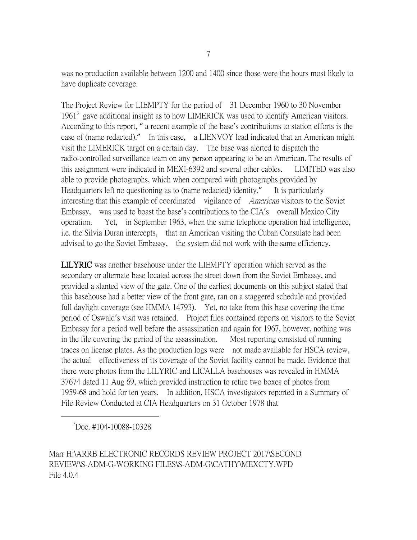was no production available between 1200 and 1400 since those were the hours most likely to have duplicate coverage.

The Project Review for LIEMPTY for the period of 31 December 1960 to 30 November  $1961<sup>3</sup>$  $1961<sup>3</sup>$  $1961<sup>3</sup>$  gave additional insight as to how LIMERICK was used to identify American visitors. According to this report, " a recent example of the base's contributions to station efforts is the case of (name redacted)." In this case, a LIENVOY lead indicated that an American might visit the LIMERICK target on a certain day. The base was alerted to dispatch the radio-controlled surveillance team on any person appearing to be an American. The results of this assignment were indicated in MEXI-6392 and several other cables. LIMITED was also able to provide photographs, which when compared with photographs provided by Headquarters left no questioning as to (name redacted) identity." It is particularly interesting that this example of coordinated vigilance of *American* visitors to the Soviet Embassy, was used to boast the base's contributions to the CIA's overall Mexico City operation. Yet, in September 1963, when the same telephone operation had intelligence, i.e. the Silvia Duran intercepts, that an American visiting the Cuban Consulate had been advised to go the Soviet Embassy, the system did not work with the same efficiency.

LILYRIC was another basehouse under the LIEMPTY operation which served as the secondary or alternate base located across the street down from the Soviet Embassy, and provided a slanted view of the gate. One of the earliest documents on this subject stated that this basehouse had a better view of the front gate, ran on a staggered schedule and provided full daylight coverage (see HMMA 14793). Yet, no take from this base covering the time period of Oswald's visit was retained. Project files contained reports on visitors to the Soviet Embassy for a period well before the assassination and again for 1967, however, nothing was in the file covering the period of the assassination. Most reporting consisted of running traces on license plates. As the production logs were not made available for HSCA review, the actual effectiveness of its coverage of the Soviet facility cannot be made. Evidence that there were photos from the LILYRIC and LICALLA basehouses was revealed in HMMA 37674 dated 11 Aug 69, which provided instruction to retire two boxes of photos from 1959-68 and hold for ten years. In addition, HSCA investigators reported in a Summary of File Review Conducted at CIA Headquarters on 31 October 1978 that

<span id="page-6-0"></span> 3  ${}^{3}$ Doc. #104-10088-10328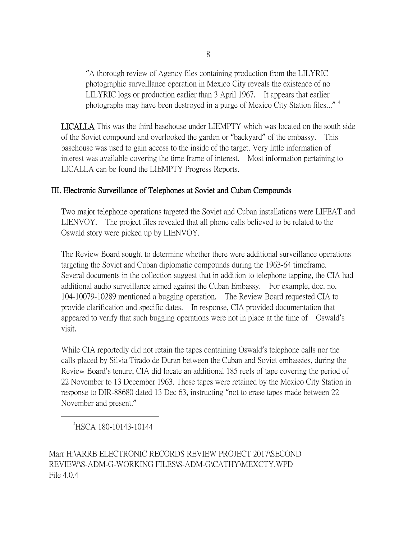"A thorough review of Agency files containing production from the LILYRIC photographic surveillance operation in Mexico City reveals the existence of no LILYRIC logs or production earlier than 3 April 1967. It appears that earlier photographs may have been destroyed in a purge of Mexico City Station files..."<sup>[4](#page-7-0)</sup>

LICALLA This was the third basehouse under LIEMPTY which was located on the south side of the Soviet compound and overlooked the garden or "backyard" of the embassy. This basehouse was used to gain access to the inside of the target. Very little information of interest was available covering the time frame of interest. Most information pertaining to LICALLA can be found the LIEMPTY Progress Reports.

#### III. Electronic Surveillance of Telephones at Soviet and Cuban Compounds

Two major telephone operations targeted the Soviet and Cuban installations were LIFEAT and LIENVOY. The project files revealed that all phone calls believed to be related to the Oswald story were picked up by LIENVOY.

The Review Board sought to determine whether there were additional surveillance operations targeting the Soviet and Cuban diplomatic compounds during the 1963-64 timeframe. Several documents in the collection suggest that in addition to telephone tapping, the CIA had additional audio surveillance aimed against the Cuban Embassy. For example, doc. no. 104-10079-10289 mentioned a bugging operation. The Review Board requested CIA to provide clarification and specific dates. In response, CIA provided documentation that appeared to verify that such bugging operations were not in place at the time of Oswald's visit.

While CIA reportedly did not retain the tapes containing Oswald's telephone calls nor the calls placed by Silvia Tirado de Duran between the Cuban and Soviet embassies, during the Review Board's tenure, CIA did locate an additional 185 reels of tape covering the period of 22 November to 13 December 1963. These tapes were retained by the Mexico City Station in response to DIR-88680 dated 13 Dec 63, instructing "not to erase tapes made between 22 November and present."

<span id="page-7-0"></span> $\overline{4}$ HSCA 180-10143-10144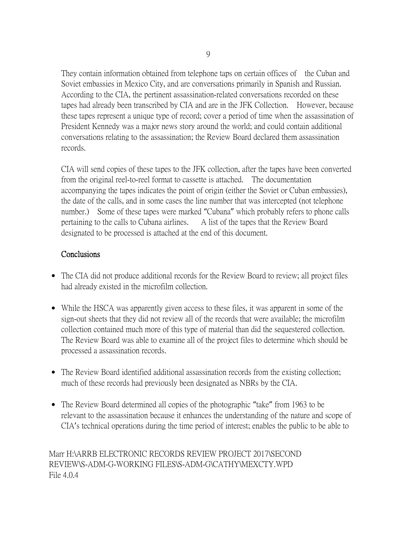They contain information obtained from telephone taps on certain offices of the Cuban and Soviet embassies in Mexico City, and are conversations primarily in Spanish and Russian. According to the CIA, the pertinent assassination-related conversations recorded on these tapes had already been transcribed by CIA and are in the JFK Collection. However, because these tapes represent a unique type of record; cover a period of time when the assassination of President Kennedy was a major news story around the world; and could contain additional conversations relating to the assassination; the Review Board declared them assassination records.

CIA will send copies of these tapes to the JFK collection, after the tapes have been converted from the original reel-to-reel format to cassette is attached. The documentation accompanying the tapes indicates the point of origin (either the Soviet or Cuban embassies), the date of the calls, and in some cases the line number that was intercepted (not telephone number.) Some of these tapes were marked "Cubana" which probably refers to phone calls pertaining to the calls to Cubana airlines. A list of the tapes that the Review Board designated to be processed is attached at the end of this document.

## **Conclusions**

- The CIA did not produce additional records for the Review Board to review; all project files had already existed in the microfilm collection.
- While the HSCA was apparently given access to these files, it was apparent in some of the sign-out sheets that they did not review all of the records that were available; the microfilm collection contained much more of this type of material than did the sequestered collection. The Review Board was able to examine all of the project files to determine which should be processed a assassination records.
- The Review Board identified additional assassination records from the existing collection; much of these records had previously been designated as NBRs by the CIA.
- The Review Board determined all copies of the photographic "take" from 1963 to be relevant to the assassination because it enhances the understanding of the nature and scope of CIA's technical operations during the time period of interest; enables the public to be able to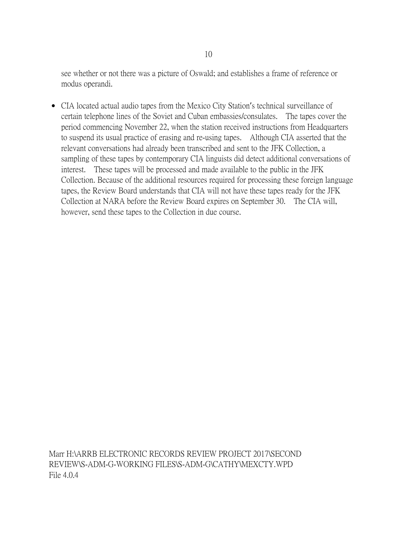see whether or not there was a picture of Oswald; and establishes a frame of reference or modus operandi.

• CIA located actual audio tapes from the Mexico City Station's technical surveillance of certain telephone lines of the Soviet and Cuban embassies/consulates. The tapes cover the period commencing November 22, when the station received instructions from Headquarters to suspend its usual practice of erasing and re-using tapes. Although CIA asserted that the relevant conversations had already been transcribed and sent to the JFK Collection, a sampling of these tapes by contemporary CIA linguists did detect additional conversations of interest. These tapes will be processed and made available to the public in the JFK Collection. Because of the additional resources required for processing these foreign language tapes, the Review Board understands that CIA will not have these tapes ready for the JFK Collection at NARA before the Review Board expires on September 30. The CIA will, however, send these tapes to the Collection in due course.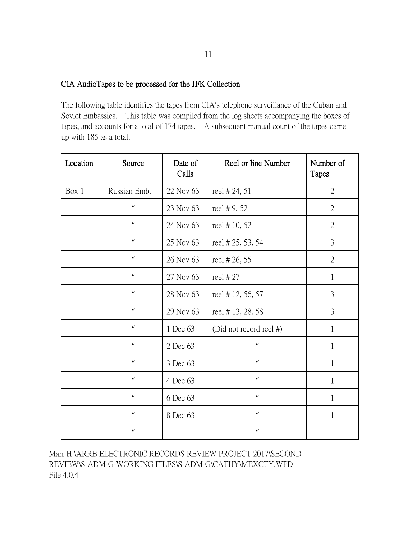#### CIA AudioTapes to be processed for the JFK Collection

The following table identifies the tapes from CIA's telephone surveillance of the Cuban and Soviet Embassies. This table was compiled from the log sheets accompanying the boxes of tapes, and accounts for a total of 174 tapes. A subsequent manual count of the tapes came up with 185 as a total.

| Location | Source           | Date of<br>Calls | Reel or line Number     | Number of<br>Tapes |
|----------|------------------|------------------|-------------------------|--------------------|
| Box 1    | Russian Emb.     | 22 Nov 63        | reel #24, 51            | $\overline{2}$     |
|          | $\boldsymbol{u}$ | 23 Nov 63        | reel #9,52              | $\overline{2}$     |
|          | $\boldsymbol{u}$ | 24 Nov 63        | reel #10, 52            | $\overline{2}$     |
|          | $\boldsymbol{u}$ | 25 Nov 63        | reel # 25, 53, 54       | 3                  |
|          | $\boldsymbol{u}$ | 26 Nov 63        | reel #26,55             | $\overline{2}$     |
|          | $\boldsymbol{u}$ | 27 Nov 63        | reel #27                | $\mathbf{1}$       |
|          | $\boldsymbol{u}$ | 28 Nov 63        | reel #12, 56, 57        | 3                  |
|          | $\boldsymbol{u}$ | 29 Nov 63        | reel #13, 28, 58        | 3                  |
|          | $\boldsymbol{u}$ | 1 Dec 63         | (Did not record reel #) | $\mathbf{1}$       |
|          | $\boldsymbol{u}$ | 2 Dec 63         | $\boldsymbol{u}$        | 1                  |
|          | $\boldsymbol{u}$ | 3 Dec 63         | $\boldsymbol{u}$        | 1                  |
|          | $\boldsymbol{u}$ | 4 Dec 63         | $\boldsymbol{u}$        | 1                  |
|          | $\mathbf{u}$     | 6 Dec 63         | $\boldsymbol{u}$        | $\mathbf{1}$       |
|          | $\mathbf{u}$     | 8 Dec 63         | $\boldsymbol{u}$        | 1                  |
|          | $\boldsymbol{u}$ |                  | $\boldsymbol{u}$        |                    |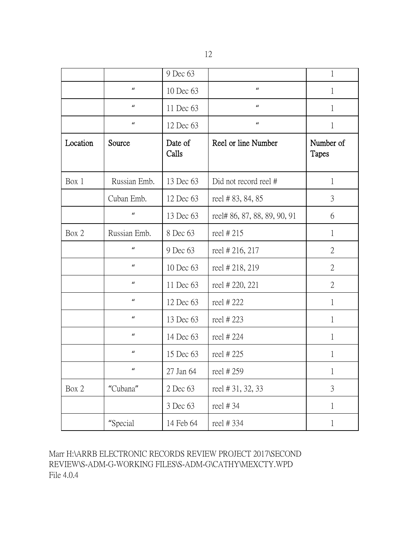|          |                  | 9 Dec 63         |                              | $\mathbf{1}$              |
|----------|------------------|------------------|------------------------------|---------------------------|
|          | $\boldsymbol{u}$ | 10 Dec 63        | $\boldsymbol{u}$             | 1                         |
|          | $\boldsymbol{u}$ | 11 Dec 63        | $\boldsymbol{u}$             | 1                         |
|          | $\boldsymbol{u}$ | 12 Dec 63        | $\boldsymbol{u}$             | $\mathbf 1$               |
| Location | Source           | Date of<br>Calls | Reel or line Number          | Number of<br><b>Tapes</b> |
| Box 1    | Russian Emb.     | 13 Dec 63        | Did not record reel #        | $\mathbf{1}$              |
|          | Cuban Emb.       | 12 Dec 63        | reel #83, 84, 85             | 3                         |
|          | $\boldsymbol{u}$ | 13 Dec 63        | reel# 86, 87, 88, 89, 90, 91 | 6                         |
| Box 2    | Russian Emb.     | 8 Dec 63         | reel #215                    | $\mathbf{1}$              |
|          | $\boldsymbol{u}$ | 9 Dec 63         | reel # 216, 217              | $\overline{2}$            |
|          | $\boldsymbol{u}$ | 10 Dec 63        | reel # 218, 219              | $\overline{2}$            |
|          | $\boldsymbol{u}$ | 11 Dec 63        | reel # 220, 221              | $\overline{2}$            |
|          | $\boldsymbol{u}$ | 12 Dec 63        | reel #222                    | 1                         |
|          | $\boldsymbol{u}$ | 13 Dec 63        | reel #223                    | $\mathbf{1}$              |
|          | $\boldsymbol{u}$ | 14 Dec 63        | reel #224                    | 1                         |
|          | $\boldsymbol{u}$ | 15 Dec 63        | reel #225                    | 1                         |
|          | $\boldsymbol{u}$ | 27 Jan 64        | reel #259                    |                           |
| Box 2    | "Cubana"         | 2 Dec 63         | reel #31, 32, 33             | 3                         |
|          |                  | 3 Dec 63         | reel #34                     | $\mathbf{1}$              |
|          | "Special         | 14 Feb 64        | reel #334                    | $\mathbf{1}$              |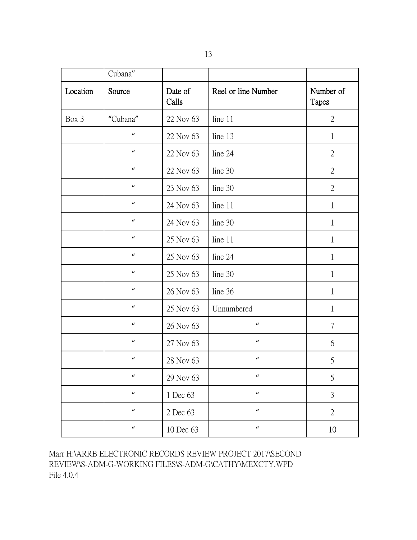|          | Cubana"                    |                  |                     |                    |
|----------|----------------------------|------------------|---------------------|--------------------|
| Location | Source                     | Date of<br>Calls | Reel or line Number | Number of<br>Tapes |
| Box 3    | "Cubana"                   | 22 Nov 63        | line 11             | $\overline{2}$     |
|          | $\boldsymbol{u}$           | 22 Nov 63        | line 13             | $\mathbf{1}$       |
|          | $\boldsymbol{u}$           | 22 Nov 63        | line 24             | $\overline{2}$     |
|          | $\boldsymbol{u}$           | 22 Nov 63        | line 30             | $\overline{2}$     |
|          | $\boldsymbol{u}$           | 23 Nov 63        | line 30             | $\overline{2}$     |
|          | $\boldsymbol{u}$           | 24 Nov 63        | line 11             | $\mathbf{1}$       |
|          | $\boldsymbol{u}$           | 24 Nov 63        | line 30             | $\mathbf{1}$       |
|          | $\boldsymbol{u}$           | 25 Nov 63        | line 11             | $\mathbf{1}$       |
|          | $\boldsymbol{u}$           | 25 Nov 63        | line 24             | $\mathbf{1}$       |
|          | $\boldsymbol{u}$           | 25 Nov 63        | line 30             | $\mathbf{1}$       |
|          | $\boldsymbol{u}$           | 26 Nov 63        | line 36             | $\mathbf{1}$       |
|          | $\boldsymbol{u}$           | 25 Nov 63        | Unnumbered          | 1                  |
|          | $\boldsymbol{u}$           | 26 Nov 63        | $\boldsymbol{u}$    | $\overline{7}$     |
|          | $\boldsymbol{u}$           | 27 Nov 63        | $\boldsymbol{u}$    | 6                  |
|          | $\boldsymbol{u}$           | 28 Nov 63        | $\boldsymbol{u}$    | 5                  |
|          | $\boldsymbol{\mathcal{U}}$ | 29 Nov 63        | $\boldsymbol{u}$    | 5                  |
|          | $\boldsymbol{u}$           | 1 Dec 63         | $\boldsymbol{u}$    | $\mathfrak{Z}$     |
|          | $\boldsymbol{u}$           | 2 Dec 63         | $\boldsymbol{u}$    | $\sqrt{2}$         |
|          | $\boldsymbol{u}$           | 10 Dec 63        | $\boldsymbol{u}$    | 10                 |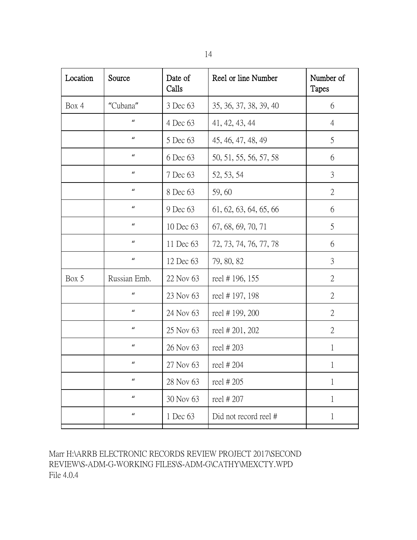| Location | Source           | Date of<br>Calls | Reel or line Number    | Number of<br><b>Tapes</b> |
|----------|------------------|------------------|------------------------|---------------------------|
| Box 4    | "Cubana"         | 3 Dec 63         | 35, 36, 37, 38, 39, 40 | 6                         |
|          | $\boldsymbol{u}$ | 4 Dec 63         | 41, 42, 43, 44         | $\overline{4}$            |
|          | $\boldsymbol{u}$ | 5 Dec 63         | 45, 46, 47, 48, 49     | 5                         |
|          | $\boldsymbol{u}$ | 6 Dec 63         | 50, 51, 55, 56, 57, 58 | 6                         |
|          | $\boldsymbol{u}$ | 7 Dec 63         | 52, 53, 54             | 3                         |
|          | $\boldsymbol{u}$ | 8 Dec 63         | 59,60                  | $\overline{2}$            |
|          | $\boldsymbol{u}$ | 9 Dec 63         | 61, 62, 63, 64, 65, 66 | 6                         |
|          | $\boldsymbol{u}$ | 10 Dec 63        | 67, 68, 69, 70, 71     | 5                         |
|          | $\boldsymbol{u}$ | 11 Dec 63        | 72, 73, 74, 76, 77, 78 | 6                         |
|          | $\boldsymbol{u}$ | 12 Dec 63        | 79, 80, 82             | $\mathfrak{Z}$            |
| Box 5    | Russian Emb.     | 22 Nov 63        | reel #196, 155         | $\overline{2}$            |
|          | $\boldsymbol{u}$ | 23 Nov 63        | reel #197, 198         | $\overline{2}$            |
|          | $\boldsymbol{u}$ | 24 Nov 63        | reel #199, 200         | $\overline{2}$            |
|          | $\boldsymbol{u}$ | 25 Nov 63        | reel # 201, 202        | $\mathfrak{2}$            |
|          | $\boldsymbol{u}$ | 26 Nov 63        | reel #203              | 1                         |
|          | $\boldsymbol{u}$ | 27 Nov 63        | reel # 204             | 1                         |
|          | $\boldsymbol{u}$ | 28 Nov 63        | reel #205              | 1                         |
|          | $\boldsymbol{u}$ | 30 Nov 63        | reel #207              | 1                         |
|          | $\boldsymbol{u}$ | 1 Dec 63         | Did not record reel #  | $\mathbf{1}$              |
|          |                  |                  |                        |                           |